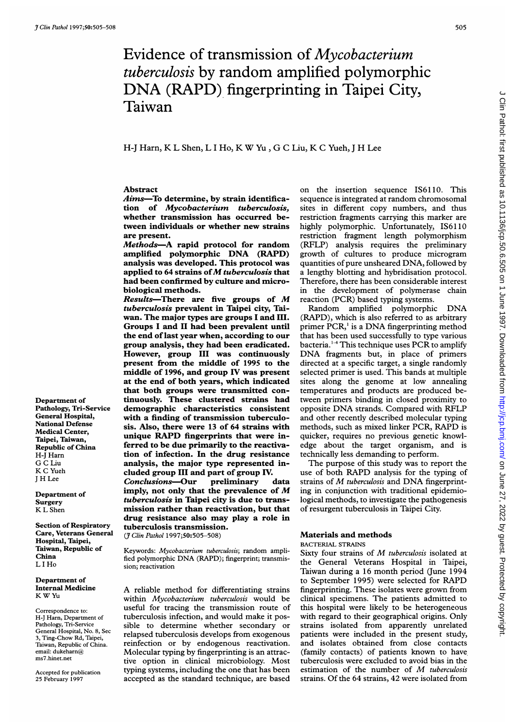# Evidence of transmission of Mycobacterium tuberculosis by random amplified polymorphic DNA (RAPD) fingerprinting in Taipei City, Taiwan

# H-J Harn, K <sup>L</sup> Shen, <sup>L</sup> <sup>I</sup> Ho, K W Yu, G <sup>C</sup> Liu, K <sup>C</sup> Yueh, <sup>J</sup> H Lee

#### Abstract

Aims-To determine, by strain identification of Mycobacterium tuberculosis, whether transmission has occurred between individuals or whether new strains are present.

Methods-A rapid protocol for random amplified polymorphic DNA (RAPD) analysis was developed. This protocol was applied to 64 strains of  $M$  tuberculosis that had been confirmed by culture and microbiological methods.

 $Results$ -There are five groups of  $M$ tuberculosis prevalent in Taipei city, Taiwan. The major types are groups <sup>I</sup> and III. Groups <sup>I</sup> and II had been prevalent until the end of last year when, according to our group analysis, they had been eradicated. However, group III was continuously present from the middle of 1995 to the middle of 1996, and group IV was present at the end of both years, which indicated that both groups were transmitted continuously. These clustered strains had demographic characteristics consistent with a finding of transmission tuberculosis. Also, there were 13 of 64 strains with unique RAPD fingerprints that were inferred to be due primarily to the reactivation of infection. In the drug resistance analysis, the major type represented included group III and part of group IV.

Conclusions-Our preliminary data imply, not only that the prevalence of M tuberculosis in Taipei city is due to transmission rather than reactivation, but that drug resistance also may play a role in tuberculosis transmission.

(7 Clin Pathol 1997;50:505-508)

Keywords: Mycobacterium tuberculosis; random amplified polymorphic DNA (RAPD); fingerprint; transmission; reactivation

A reliable method for differentiating strains within Mycobacterium tuberculosis would be useful for tracing the transmission route of tuberculosis infection, and would make it possible to determine whether secondary or relapsed tuberculosis develops from exogenous reinfection or by endogenous reactivation. Molecular typing by fingerprinting is an attractive option in clinical microbiology. Most typing systems, including the one that has been accepted as the standard technique, are based on the insertion sequence IS61 10. This sequence is integrated at random chromosomal sites in different copy numbers, and thus restriction fragments carrying this marker are highly polymorphic. Unfortunately, IS6110 restriction fragment length polymorphism (RFLP) analysis requires the preliminary growth of cultures to produce microgram quantities of pure unsheared DNA, followed by a lengthy blotting and hybridisation protocol. Therefore, there has been considerable interest in the development of polymerase chain reaction (PCR) based typing systems.

Random amplified polymorphic DNA (RAPD), which is also referred to as arbitrary primer PCR,' is <sup>a</sup> DNA fingerprinting method that has been used successfully to type various bacteria.<sup>1-4</sup> This technique uses PCR to amplify DNA fragments but, in place of primers directed at a specific target, a single randomly selected primer is used. This bands at multiple sites along the genome at low annealing temperatures and products are produced between primers binding in closed proximity to opposite DNA strands. Compared with RFLP and other recently described molecular typing methods, such as mixed linker PCR, RAPD is quicker, requires no previous genetic knowledge about the target organism, and is technically less demanding to perform.

The purpose of this study was to report the use of both RAPD analysis for the typing of strains of M tuberculosis and DNA fingerprinting in conjunction with traditional epidemiological methods, to investigate the pathogenesis of resurgent tuberculosis in Taipei City.

# Materials and methods

#### BACTERIAL STRAINS

Sixty four strains of M tuberculosis isolated at the General Veterans Hospital in Taipei, Taiwan during a 16 month period (June 1994 to September 1995) were selected for RAPD fingerprinting. These isolates were grown from clinical specimens. The patients admitted to this hospital were likely to be heterogeneous with regard to their geographical origins. Only strains isolated from apparently unrelated patients were included in the present study, and isolates obtained from close contacts (family contacts) of patients known to have tuberculosis were excluded to avoid bias in the estimation of the number of M tuberculosis strains. Of the 64 strains, 42 were isolated from

Department of Pathology, Tri-Service General Hospital, National Defense Medical Center, Taipei, Taiwan, Republic of China H-J Harn G C Liu K C Yueh <sup>J</sup> H Lee

Department of **Surgery** K L Shen

Section of Respiratory Care, Veterans General Hospital, Taipei, Taiwan, Republic of China L <sup>I</sup> Ho

Department of Internal Medicine K W Yu

Correspondence to: H-J Harn, Department of Pathology, Tri-Service General Hospital, No. 8, Sec 3, Ting-Chow Rd, Taipei, Taiwan, Republic of China. email: dukeharn@ ms7.hinet.net

Accepted for publication 25 February 1997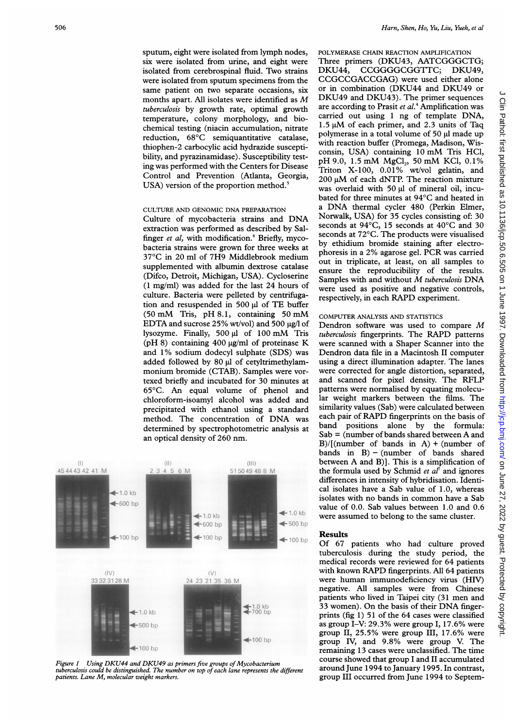sputum, eight were isolated from lymph nodes, six were isolated from urine, and eight were isolated from cerebrospinal fluid. Two strains were isolated from sputum specimens from the same patient on two separate occasions, six months apart. All isolates were identified as M tuberculosis by growth rate, optimal growth temperature, colony morphology, and biochemical testing (niacin accumulation, nitrate reduction, 68°C semiquantitative catalase, thiophen-2 carbocylic acid hydrazide susceptibility, and pyrazinamidase). Susceptibility testing was performed with the Centers for Disease Control and Prevention (Atlanta, Georgia, USA) version of the proportion method.<sup>5</sup>

# CULTURE AND GENOMIC DNA PREPARATION

Culture of mycobacteria strains and DNA extraction was performed as described by Salfinger  $et$  al, with modification. $6$  Briefly, mycobacteria strains were grown for three weeks at 37°C in 20 ml of 7H9 Middlebrook medium supplemented with albumin dextrose catalase (Difco, Detroit, Michigan, USA). Cycloserine (1 mg/ml) was added for the last 24 hours of culture. Bacteria were pelleted by centrifugation and resuspended in 500  $\mu$ l of TE buffer (50 mM Tris, pH 8.1, containing <sup>50</sup> mM EDTA and sucrose 25% wt/vol) and 500  $\mu$ g/l of lysozyme. Finally, 500 µl of 100 mM Tris (pH 8) containing 400  $\mu$ g/ml of proteinase K and 1% sodium dodecyl sulphate (SDS) was added followed by 80 µl of cetyltrimethylammonium bromide (CTAB). Samples were vortexed briefly and incubated for 30 minutes at 65°C. An equal volume of phenol and chloroform-isoamyl alcohol was added and precipitated with ethanol using a standard method. The concentration of DNA was determined by spectrophotometric analysis at an optical density of 260 nm.



Figure 1 Using DKU44 and DKU49 as primers five groups of Mycobacterium tuberculosis could be distinguished. The number on top of each lane represents the different patients. Lane M, molecular weight markers.

POLYMERASE CHAIN REACTION AMPLIFICATION

Three primers (DKU43, AATCGGGCTG;<br>DKU44, CCGGGGCGGTTC; DKU49, CCGGGGCGGTTC; CCGCCGACCGAG) were used either alone or in combination (DKU44 and DKU49 or DKU49 and DKU43). The primer sequences are according to Prasit et al.<sup>4</sup> Amplification was carried out using <sup>1</sup> ng of template DNA,  $1.5 \mu M$  of each primer, and 2.3 units of Taq polymerase in a total volume of 50  $\mu$ l made up with reaction buffer (Promega, Madison, Wisconsin, USA) containing <sup>10</sup> mM Tris HCl, pH 9.0, 1.5 mM MgCl<sub>2</sub>, 50 mM KCl, 0.1% Triton X-100, 0.01% wt/vol gelatin, and  $200 \mu M$  of each dNTP. The reaction mixture was overlaid with 50 µl of mineral oil, incubated for three minutes at 94°C and heated in <sup>a</sup> DNA thermal cycler <sup>480</sup> (Perkin Elmer, Norwalk, USA) for 35 cycles consisting of: 30 seconds at 94°C, 15 seconds at 40°C and 30 seconds at 72°C. The products were visualised by ethidium bromide staining after electrophoresis in <sup>a</sup> 2% agarose gel. PCR was carried out in triplicate, at least, on all samples to ensure the reproducibility of the results. Samples with and without M tuberculosis DNA were used as positive and negative controls, respectively, in each RAPD experiment.

# COMPUTER ANALYSIS AND STATISTICS

Dendron software was used to compare M tuberculosis fingerprints. The RAPD patterns were scanned with a Shaper Scanner into the Dendron data file in a Macintosh II computer using a direct illumination adapter. The lanes were corrected for angle distortion, separated, and scanned for pixel density. The RFLP patterns were normalised by equating molecular weight markers between the films. The similarity values (Sab) were calculated between each pair of RAPD fingerprints on the basis of band positions alone by the formula:  $Sab = (number of bands shared between A and$ B)/[(number of bands in A) + (number of bands in  $B$ ) - (number of bands shared between A and B)]. This is <sup>a</sup> simplification of the formula used by Schmid *et*  $a^{r}$  and ignores differences in intensity of hybridisation. Identical isolates have a Sab value of 1.0, whereas isolates with no bands in common have <sup>a</sup> Sab value of 0.0. Sab values between 1.0 and 0.6 were assumed to belong to the same cluster.

#### Results

 $\leftarrow$  100 bp Of 67 patients who had culture proved tuberculosis during the study period, the medical records were reviewed for 64 patients with known RAPD fingerprints. All 64 patients were human immunodeficiency virus (HIV) negative. All samples were from Chinese patients who lived in Taipei city (31 men and <sup>33</sup> women). On the basis of their DNA fingerprints (fig 1) 51 of the 64 cases were classified as group I-V: 29.3% were group I, 17.6% were group II, 25.5% were group III, 17.6% were group IV, and 9.8% were group V. The remaining 13 cases were unclassified. The time course showed that group <sup>I</sup> and II accumulated around June 1994 to January 1995. In contrast, group III occurred from June 1994 to Septem-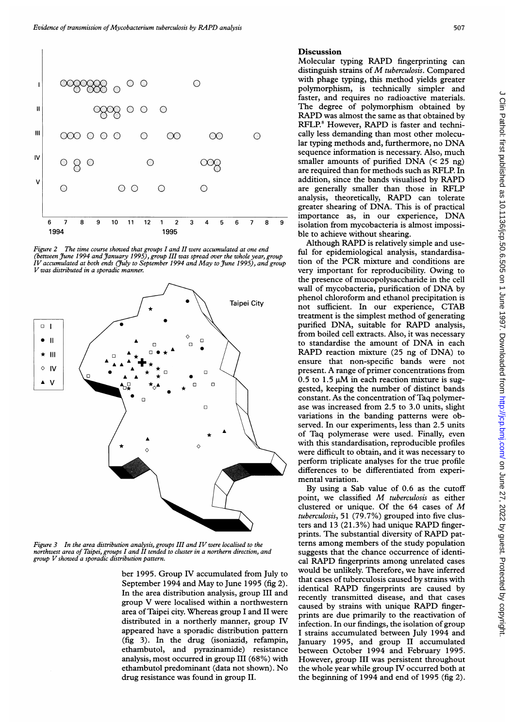

Figure 2 The time course showed that groups I and II were accumulated at one end<br>(between June 1994 and January 1995), group III was spread over the whole year, group<br>IV accumulated at both ends (July to September 1994 Vwas distributed in <sup>a</sup> sporadic manner.



Figure 3 In the area distribution analysis, groups III and IV were localised to the northwest area of Taipei, groups I and II tended to cluster in a northern direction, and group Vshowed <sup>a</sup> sporadic distribution pattern.

ber 1995. Group IV accumulated from July to September 1994 and May to June 1995 (fig 2). In the area distribution analysis, group III and group V were localised within area of Taipei city. Whereas group I and II were distributed in a northerly manner, group IV appeared have a sporadic distribution pattern (fig 3). In the drug (isoniazid, refampin, ethambutol, and pyrazinamide) resistance analysis, most occurred in group III (68%) with ethambutol predominant (data not shown). No drug resistance was found in group II.

### Discussion

Molecular typing RAPD fingerprinting can distinguish strains of M tuberculosis. Compared with phage typing, this method yields greater polymorphism, is technically simpler and faster, and requires no radioactive materials. The degree of polymorphism obtained by RAPD was almost the same as that obtained by RFLP.<sup>8</sup> However, RAPD is faster and techni-0 cally less demanding than most other molecular typing methods and, furthermore, no DNA sequence information is necessary. Also, much smaller amounts of purified DNA (< <sup>25</sup> ng) are required than for methods such as RFLP. In addition, since the bands visualised by RAPD are generally smaller than those in RFLP analysis, theoretically, RAPD can tolerate greater shearing of DNA. This is of practical importance as, in our experience, DNA 6 <sup>7</sup> 8 <sup>9</sup> isolation from mycobacteria is almost impossible to achieve without shearing.

Although RAPD is relatively simple and use ful for epidemiological analysis, standardisation of the PCR mixture and conditions are very important for reproducibility. Owing to the presence of mucopolysaccharide in the cell wall of mycobacteria, purification of DNA by phenol chloroform and ethanol precipitation is Taipei City **not** sufficient. In our experience, CTAB treatment is the simplest method of generating purified DNA, suitable for RAPD analysis, from boiled cell extracts. Also, it was necessary to standardise the amount of DNA in each RAPD reaction mixture (25 ng of DNA) to ensure that non-specific bands were not present. A range of primer concentrations from 0.5 to 1.5  $\mu$ M in each reaction mixture is suggested, keeping the number of distinct bands constant. As the concentration of Taq polymerase was increased from 2.5 to 3.0 units, slight variations in the banding patterns were observed. In our experiments, less than 2.5 units of Taq polymerase were used. Finally, even with this standardisation, reproducible profiles were difficult to obtain, and it was necessary to perform triplicate analyses for the true profile differences to be differentiated from experimental variation.

> By using a Sab value of 0.6 as the cutoff point, we classified M tuberculosis as either clustered or unique. Of the <sup>64</sup> cases of M tuberculosis, 51 (79.7%) grouped into five clusters and <sup>13</sup> (21.3%) had unique RAPD fingerprints. The substantial diversity of RAPD patterns among members of the study population suggests that the chance occurrence of identical RAPD fingerprints among unrelated cases would be unlikely. Therefore, we have inferred that cases of tuberculosis caused by strains with identical RAPD fingerprints are caused by recently transmitted disease, and that cases caused by strains with unique RAPD fingerprints are due primarily to the reactivation of infection. In our findings, the isolation of group I strains accumulated between July 1994 and January 1995, and group II accumulated between October 1994 and February 1995. However, group III was persistent throughout the whole year while group IV occurred both at the beginning of  $1994$  and end of 1995 (fig 2).